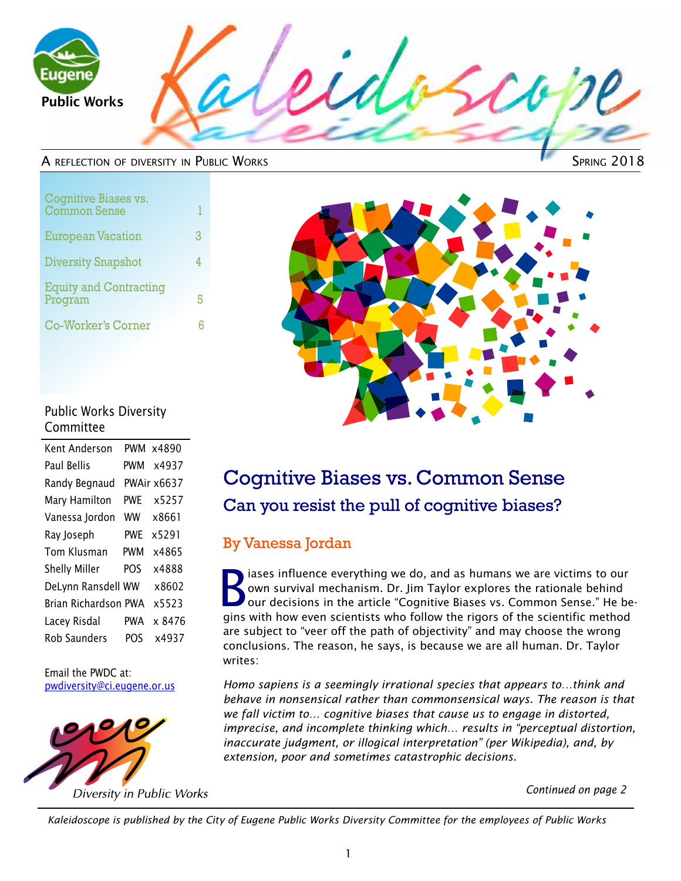

#### A reflection of diversity in Public Works

| Cognitive Biases vs.<br><b>Common Sense</b> | 1 |
|---------------------------------------------|---|
| <b>European Vacation</b>                    | 3 |
| <b>Diversity Snapshot</b>                   |   |
| <b>Equity and Contracting</b><br>Program    | 5 |
| <b>Co-Worker's Corner</b>                   |   |



### Public Works Diversity Committee

|                      | PWM x4890   |
|----------------------|-------------|
| PWM                  | x4937       |
|                      | PWAir x6637 |
| pwf                  | x5257       |
| ww                   | x8661       |
| pwf                  | x5291       |
| PWM                  | x4865       |
| POS                  | x4888       |
| DeLynn Ransdell WW   | x8602       |
| Brian Richardson PWA | x5523       |
| PWA                  | x 8476      |
| POS                  | x4937       |
|                      |             |

Email the PWDC at: pwdiversity@ci.eugene.or.us



## Cognitive Biases vs. Common Sense Can you resist the pull of cognitive biases?

### By Vanessa Jordan

Solutions influence everything we do, and as humans we are victims to our own survival mechanism. Dr. Jim Taylor explores the rationale behind our decisions in the article "Cognitive Biases vs. Common Sense." He beown survival mechanism. Dr. Jim Taylor explores the rationale behind gins with how even scientists who follow the rigors of the scientific method are subject to "veer off the path of objectivity" and may choose the wrong conclusions. The reason, he says, is because we are all human. Dr. Taylor writes:

*Homo sapiens is a seemingly irrational species that appears to…think and behave in nonsensical rather than commonsensical ways. The reason is that we fall victim to… cognitive biases that cause us to engage in distorted, imprecise, and incomplete thinking which… results in "perceptual distortion, inaccurate judgment, or illogical interpretation" (per Wikipedia), and, by extension, poor and sometimes catastrophic decisions.*

*Continued on page 2*

*Kaleidoscope is published by the City of Eugene Public Works Diversity Committee for the employees of Public Works*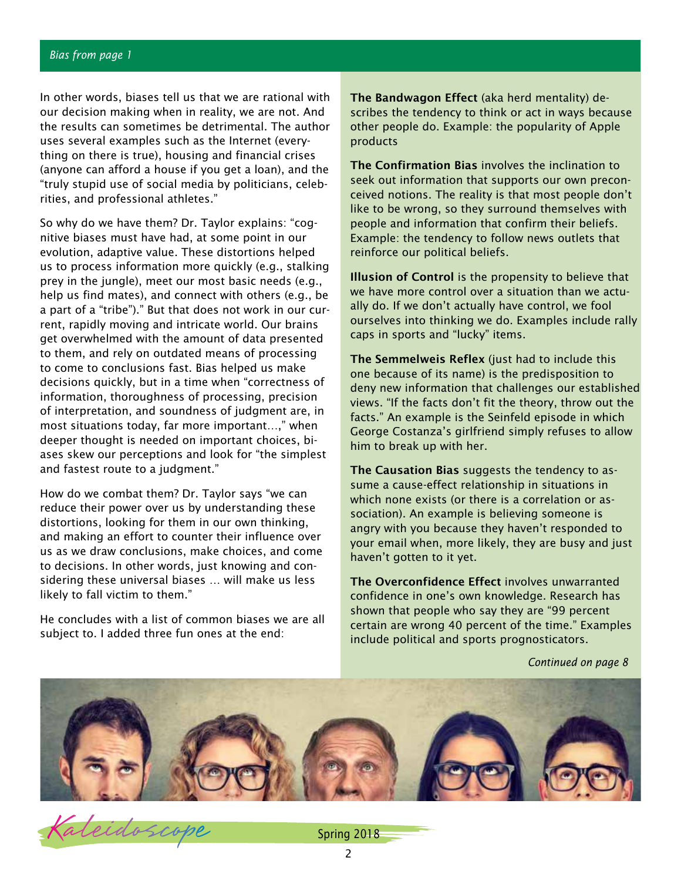In other words, biases tell us that we are rational with our decision making when in reality, we are not. And the results can sometimes be detrimental. The author uses several examples such as the Internet (everything on there is true), housing and financial crises (anyone can afford a house if you get a loan), and the "truly stupid use of social media by politicians, celebrities, and professional athletes."

So why do we have them? Dr. Taylor explains: "cognitive biases must have had, at some point in our evolution, adaptive value. These distortions helped us to process information more quickly (e.g., stalking prey in the jungle), meet our most basic needs (e.g., help us find mates), and connect with others (e.g., be a part of a "tribe")." But that does not work in our current, rapidly moving and intricate world. Our brains get overwhelmed with the amount of data presented to them, and rely on outdated means of processing to come to conclusions fast. Bias helped us make decisions quickly, but in a time when "correctness of information, thoroughness of processing, precision of interpretation, and soundness of judgment are, in most situations today, far more important…," when deeper thought is needed on important choices, biases skew our perceptions and look for "the simplest and fastest route to a judgment."

How do we combat them? Dr. Taylor says "we can reduce their power over us by understanding these distortions, looking for them in our own thinking, and making an effort to counter their influence over us as we draw conclusions, make choices, and come to decisions. In other words, just knowing and considering these universal biases … will make us less likely to fall victim to them."

He concludes with a list of common biases we are all subject to. I added three fun ones at the end:

The Bandwagon Effect (aka herd mentality) describes the tendency to think or act in ways because other people do. Example: the popularity of Apple products

The Confirmation Bias involves the inclination to seek out information that supports our own preconceived notions. The reality is that most people don't like to be wrong, so they surround themselves with people and information that confirm their beliefs. Example: the tendency to follow news outlets that reinforce our political beliefs.

Illusion of Control is the propensity to believe that we have more control over a situation than we actually do. If we don't actually have control, we fool ourselves into thinking we do. Examples include rally caps in sports and "lucky" items.

The Semmelweis Reflex (just had to include this one because of its name) is the predisposition to deny new information that challenges our established views. "If the facts don't fit the theory, throw out the facts." An example is the Seinfeld episode in which George Costanza's girlfriend simply refuses to allow him to break up with her.

The Causation Bias suggests the tendency to assume a cause-effect relationship in situations in which none exists (or there is a correlation or association). An example is believing someone is angry with you because they haven't responded to your email when, more likely, they are busy and just haven't gotten to it yet.

The Overconfidence Effect involves unwarranted confidence in one's own knowledge. Research has shown that people who say they are "99 percent certain are wrong 40 percent of the time." Examples include political and sports prognosticators.

*Continued on page 8*



aleidoscope Spring 2018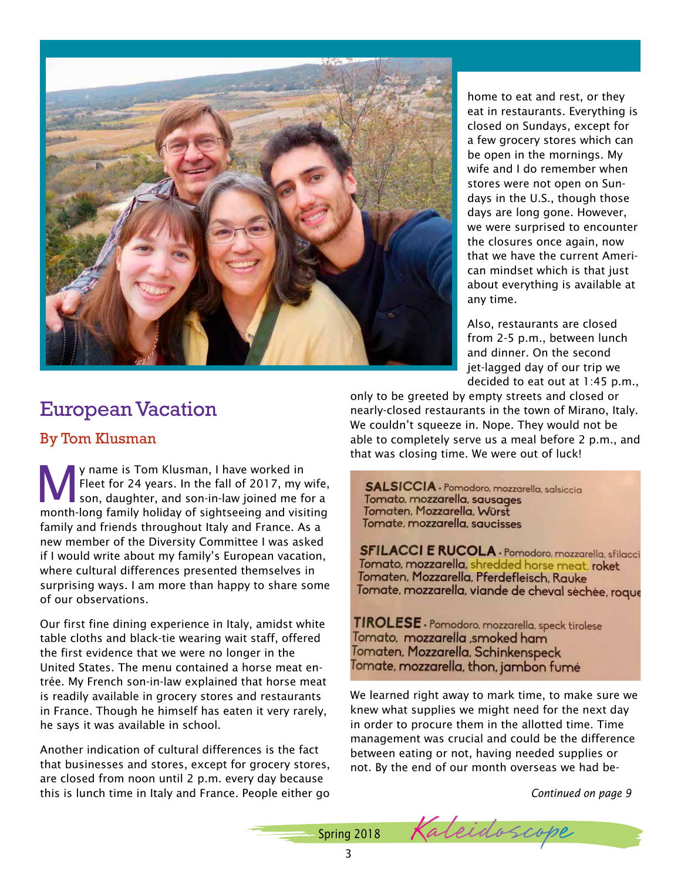

home to eat and rest, or they eat in restaurants. Everything is closed on Sundays, except for a few grocery stores which can be open in the mornings. My wife and I do remember when stores were not open on Sundays in the U.S., though those days are long gone. However, we were surprised to encounter the closures once again, now that we have the current American mindset which is that just about everything is available at any time.

Also, restaurants are closed from 2-5 p.m., between lunch and dinner. On the second jet-lagged day of our trip we decided to eat out at 1:45 p.m.,

### European Vacation

### By Tom Klusman

**My name is Tom Klusman, I have worked in Fleet for 24 years. In the fall of 2017, my v<br>son, daughter, and son-in-law joined me for month lang family belides of eighteening and visit** Fleet for 24 years. In the fall of 2017, my wife, son, daughter, and son-in-law joined me for a month-long family holiday of sightseeing and visiting family and friends throughout Italy and France. As a new member of the Diversity Committee I was asked if I would write about my family's European vacation, where cultural differences presented themselves in surprising ways. I am more than happy to share some of our observations.

Our first fine dining experience in Italy, amidst white table cloths and black-tie wearing wait staff, offered the first evidence that we were no longer in the United States. The menu contained a horse meat entrée. My French son-in-law explained that horse meat is readily available in grocery stores and restaurants in France. Though he himself has eaten it very rarely, he says it was available in school.

Another indication of cultural differences is the fact that businesses and stores, except for grocery stores, are closed from noon until 2 p.m. every day because this is lunch time in Italy and France. People either go only to be greeted by empty streets and closed or nearly-closed restaurants in the town of Mirano, Italy. We couldn't squeeze in. Nope. They would not be able to completely serve us a meal before 2 p.m., and that was closing time. We were out of luck!

SALSICCIA - Pomodoro, mozzarella, salsiccia Tomato, mozzarella, sausages Tomaten, Mozzarella, Würst Tomate, mozzarella, saucisses

SFILACCI E RUCOLA - Pomodoro, mozzarella, sfilacci Tomato, mozzarella, shredded horse meat, roket Tomaten, Mozzarella, Pferdefleisch, Rauke Tomate, mozzarella, viande de cheval sèchèe, roque

TIROLESE - Pomodoro, mozzarella, speck tirolese Tomato, mozzarella ,smoked ham Tomaten, Mozzarella, Schinkenspeck Tomate, mozzarella, thon, jambon fumé

We learned right away to mark time, to make sure we knew what supplies we might need for the next day in order to procure them in the allotted time. Time management was crucial and could be the difference between eating or not, having needed supplies or not. By the end of our month overseas we had be-

*Continued on page 9*

Spring 2018 Kaleidoscope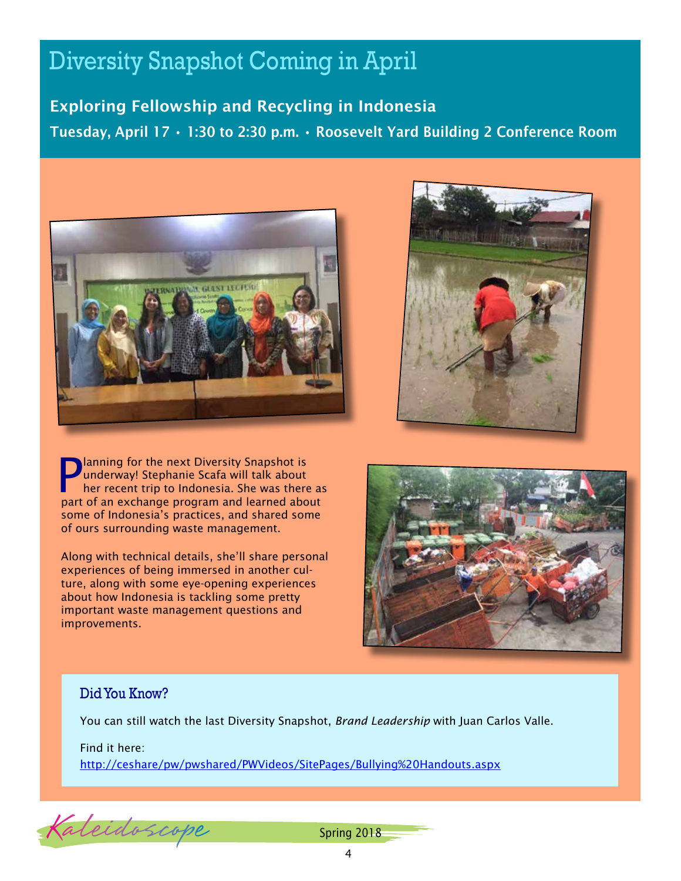# Diversity Snapshot Coming in April

Exploring Fellowship and Recycling in Indonesia Tuesday, April 17 • 1:30 to 2:30 p.m. • Roosevelt Yard Building 2 Conference Room



**P** lanning for the next Diversity Snapshot is<br>underway! Stephanie Scafa will talk about<br>her recent trip to Indonesia. She was there underway! Stephanie Scafa will talk about her recent trip to Indonesia. She was there as part of an exchange program and learned about some of Indonesia's practices, and shared some of ours surrounding waste management.

Along with technical details, she'll share personal experiences of being immersed in another culture, along with some eye-opening experiences about how Indonesia is tackling some pretty important waste management questions and improvements.





### Did You Know?

You can still watch the last Diversity Snapshot, *Brand Leadership* with Juan Carlos Valle.

Find it here:

<http://ceshare/pw/pwshared/PWVideos/SitePages/Bullying%20Handouts.aspx>

Kaleidoscope

Spring 2018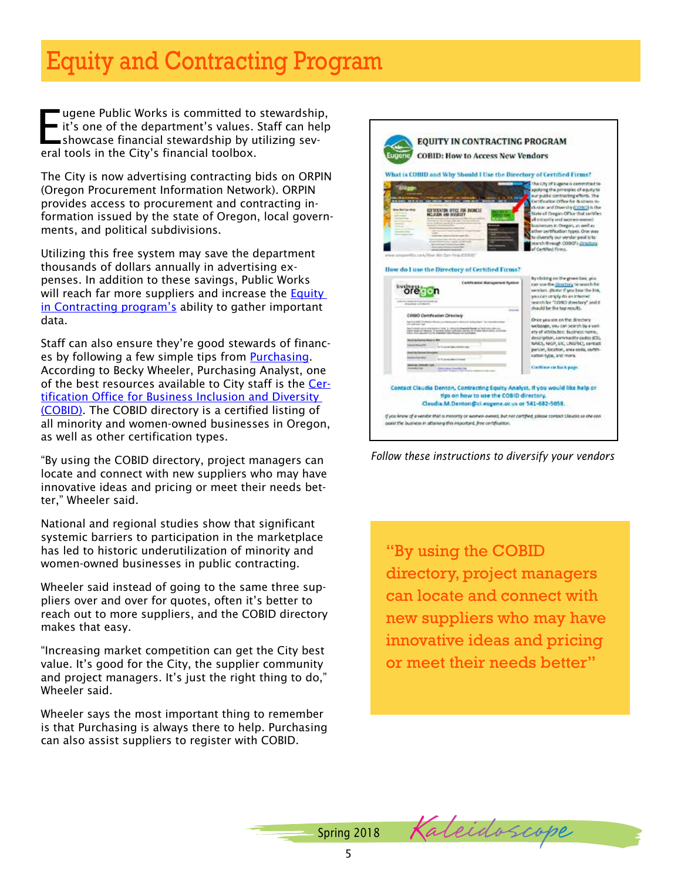# Equity and Contracting Program

E ugene Public Works is committed to stewardship, it's one of the department's values. Staff can help showcase financial stewardship by utilizing several tools in the City's financial toolbox.

The City is now advertising contracting bids on ORPIN (Oregon Procurement Information Network). ORPIN provides access to procurement and contracting information issued by the state of Oregon, local governments, and political subdivisions.

Utilizing this free system may save the department thousands of dollars annually in advertising expenses. In addition to these savings, Public Works will reach far more suppliers and increase the **Equity** [in Contracting program's](http://ceshare/cs/finance/purchasing/SiteAssets/Lists/Equity/Executive%20Team%20Equity%20in%20Contracting%20Letter.pdf) ability to gather important data.

Staff can also ensure they're good stewards of financ-es by following a few simple tips from [Purchasing.](http://ceshare/cs/finance/purchasing/default.aspx) According to Becky Wheeler, Purchasing Analyst, one of the best resources available to City staff is the [Cer](http://ceshare/cs/finance/purchasing/Shared%20Documents/COBID%20handout.pdf)[tification Office for Business Inclusion and Diversity](http://ceshare/cs/finance/purchasing/Shared%20Documents/COBID%20handout.pdf)  [\(COBID\)](http://ceshare/cs/finance/purchasing/Shared%20Documents/COBID%20handout.pdf). The COBID directory is a certified listing of all minority and women-owned businesses in Oregon, as well as other certification types.

"By using the COBID directory, project managers can locate and connect with new suppliers who may have innovative ideas and pricing or meet their needs better," Wheeler said.

National and regional studies show that significant systemic barriers to participation in the marketplace has led to historic underutilization of minority and women-owned businesses in public contracting.

Wheeler said instead of going to the same three suppliers over and over for quotes, often it's better to reach out to more suppliers, and the COBID directory makes that easy.

"Increasing market competition can get the City best value. It's good for the City, the supplier community and project managers. It's just the right thing to do," Wheeler said.

Wheeler says the most important thing to remember is that Purchasing is always there to help. Purchasing can also assist suppliers to register with COBID.



*Follow these instructions to diversify your vendors*

"By using the COBID directory, project managers can locate and connect with new suppliers who may have innovative ideas and pricing or meet their needs better"

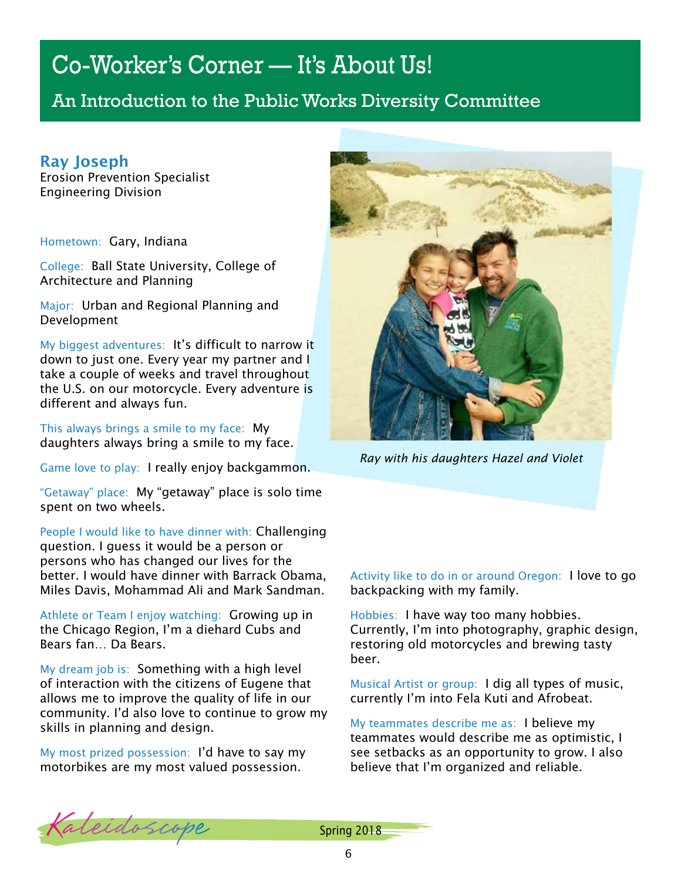# Co-Worker's Corner — It's About Us!

An Introduction to the Public Works Diversity Committee

### Ray Joseph

Erosion Prevention Specialist Engineering Division

Hometown: Gary, Indiana

College: Ball State University, College of Architecture and Planning

Major: Urban and Regional Planning and Development

My biggest adventures: It's difficult to narrow it down to just one. Every year my partner and I take a couple of weeks and travel throughout the U.S. on our motorcycle. Every adventure is different and always fun.

This always brings a smile to my face: My daughters always bring a smile to my face.

Game love to play: I really enjoy backgammon.

"Getaway" place: My "getaway" place is solo time spent on two wheels.

People I would like to have dinner with: Challenging question. I guess it would be a person or persons who has changed our lives for the better. I would have dinner with Barrack Obama, Miles Davis, Mohammad Ali and Mark Sandman.

Athlete or Team I enjoy watching: Growing up in the Chicago Region, I'm a diehard Cubs and Bears fan… Da Bears.

My dream job is: Something with a high level of interaction with the citizens of Eugene that allows me to improve the quality of life in our community. I'd also love to continue to grow my skills in planning and design.

My most prized possession: I'd have to say my motorbikes are my most valued possession.



*Ray with his daughters Hazel and Violet*

Activity like to do in or around Oregon: I love to go backpacking with my family.

Hobbies: I have way too many hobbies. Currently, I'm into photography, graphic design, restoring old motorcycles and brewing tasty beer.

Musical Artist or group: I dig all types of music, currently I'm into Fela Kuti and Afrobeat.

My teammates describe me as: I believe my teammates would describe me as optimistic, I see setbacks as an opportunity to grow. I also believe that I'm organized and reliable.

Kaleidoscope Spring 2018

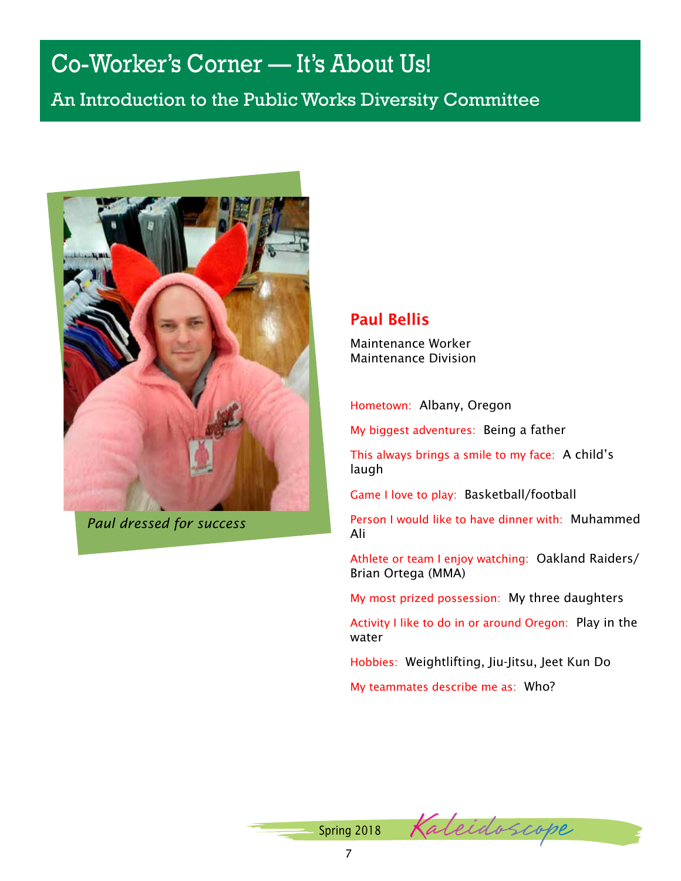# Co-Worker's Corner — It's About Us!

An Introduction to the Public Works Diversity Committee



*Paul dressed for success*

### Paul Bellis

Maintenance Worker Maintenance Division

Hometown: Albany, Oregon

My biggest adventures: Being a father

This always brings a smile to my face: A child's laugh

Game I love to play: Basketball/football

Person I would like to have dinner with: Muhammed Ali

Athlete or team I enjoy watching: Oakland Raiders/ Brian Ortega (MMA)

My most prized possession: My three daughters

Activity I like to do in or around Oregon: Play in the water

Hobbies: Weightlifting, Jiu-Jitsu, Jeet Kun Do

My teammates describe me as: Who?

Kaleidoscope Spring 2018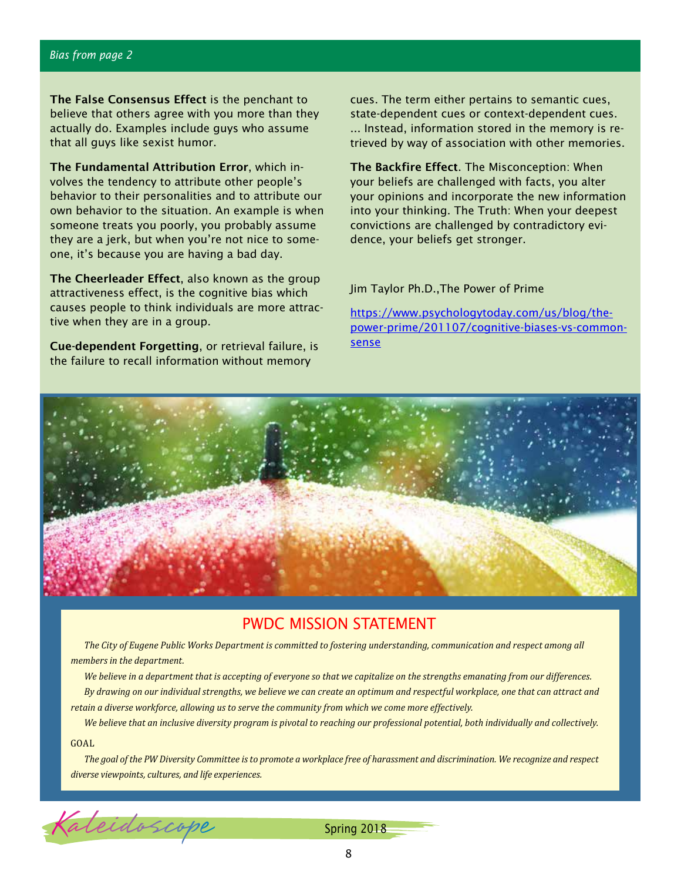#### *Bias from page 2*

The False Consensus Effect is the penchant to believe that others agree with you more than they actually do. Examples include guys who assume that all guys like sexist humor.

The Fundamental Attribution Error, which involves the tendency to attribute other people's behavior to their personalities and to attribute our own behavior to the situation. An example is when someone treats you poorly, you probably assume they are a jerk, but when you're not nice to someone, it's because you are having a bad day.

The Cheerleader Effect, also known as the group attractiveness effect, is the cognitive bias which causes people to think individuals are more attractive when they are in a group.

Cue-dependent Forgetting, or retrieval failure, is the failure to recall information without memory

cues. The term either pertains to semantic cues, state-dependent cues or context-dependent cues. ... Instead, information stored in the memory is retrieved by way of association with other memories.

The Backfire Effect. The Misconception: When your beliefs are challenged with facts, you alter your opinions and incorporate the new information into your thinking. The Truth: When your deepest convictions are challenged by contradictory evidence, your beliefs get stronger.

Jim Taylor Ph.D.,The Power of Prime

[https://www.psychologytoday.com/us/blog/the](https://www.psychologytoday.com/us/blog/the-power-prime/201107/cognitive-biases-vs-common-sense)[power-prime/201107/cognitive-biases-vs-common](https://www.psychologytoday.com/us/blog/the-power-prime/201107/cognitive-biases-vs-common-sense)[sense](https://www.psychologytoday.com/us/blog/the-power-prime/201107/cognitive-biases-vs-common-sense)



### PWDC MISSION STATEMENT

*The City of Eugene Public Works Department is committed to fostering understanding, communication and respect among all members in the department.* 

*We believe in a department that is accepting of everyone so that we capitalize on the strengths emanating from our differences. By drawing on our individual strengths, we believe we can create an optimum and respectful workplace, one that can attract and retain a diverse workforce, allowing us to serve the community from which we come more effectively.*

*We believe that an inclusive diversity program is pivotal to reaching our professional potential, both individually and collectively.*

GOAL

*The goal of the PW Diversity Committee is to promote a workplace free of harassment and discrimination. We recognize and respect diverse viewpoints, cultures, and life experiences.*